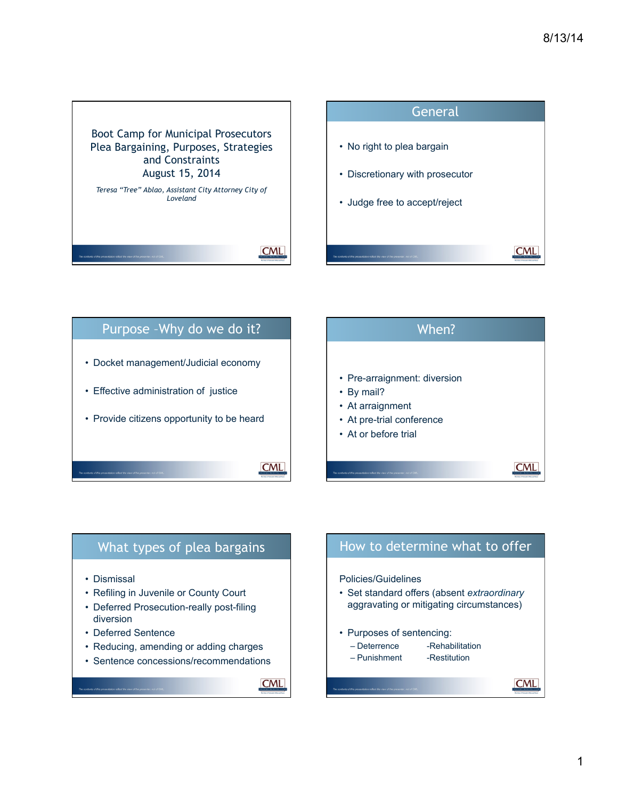





**CML** 

# What types of plea bargains • Dismissal • Refiling in Juvenile or County Court • Deferred Prosecution-really post-filing diversion • Deferred Sentence

- Reducing, amending or adding charges
- Sentence concessions/recommendations

How to determine what to offer

Policies/Guidelines

- Set standard offers (absent *extraordinary*  aggravating or mitigating circumstances)
- Purposes of sentencing:
	- Deterrence -Rehabilitation
	- Punishment -Restitution

**CML**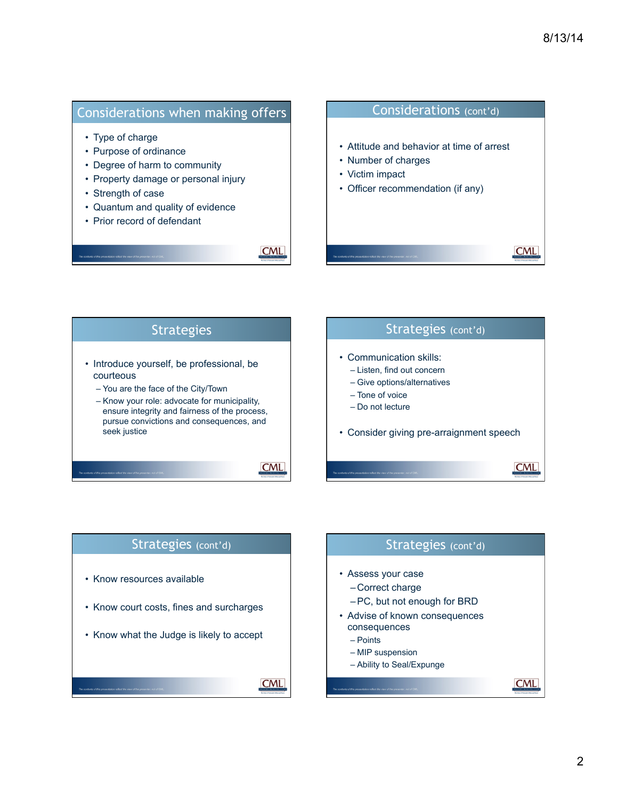**CML** 

## Considerations when making offers

- Type of charge
- Purpose of ordinance
- Degree of harm to community
- Property damage or personal injury
- Strength of case
- Quantum and quality of evidence
- Prior record of defendant

**CML** 

#### Considerations (cont'd)

- Attitude and behavior at time of arrest
- Number of charges
- Victim impact
- Officer recommendation (if any)



# Strategies (cont'd) • Know resources available • Know court costs, fines and surcharges • Know what the Judge is likely to accept **CML**

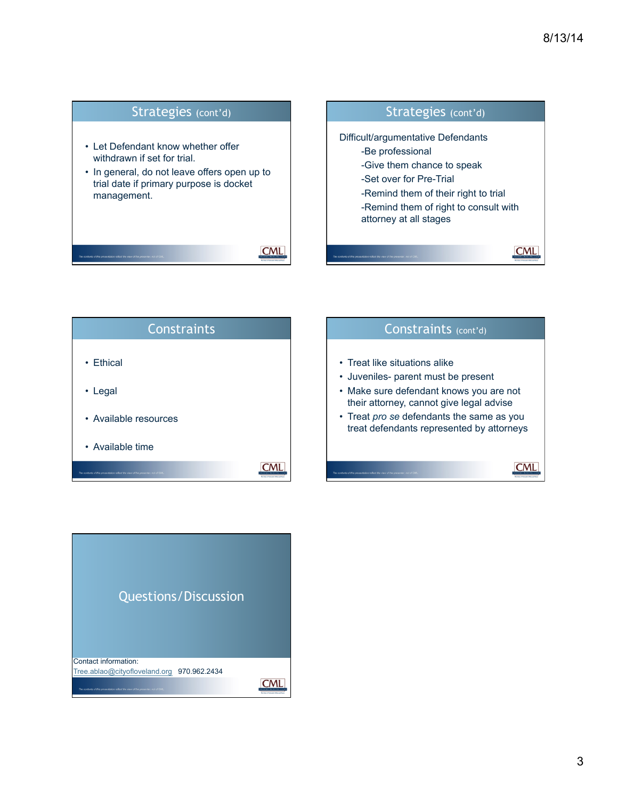



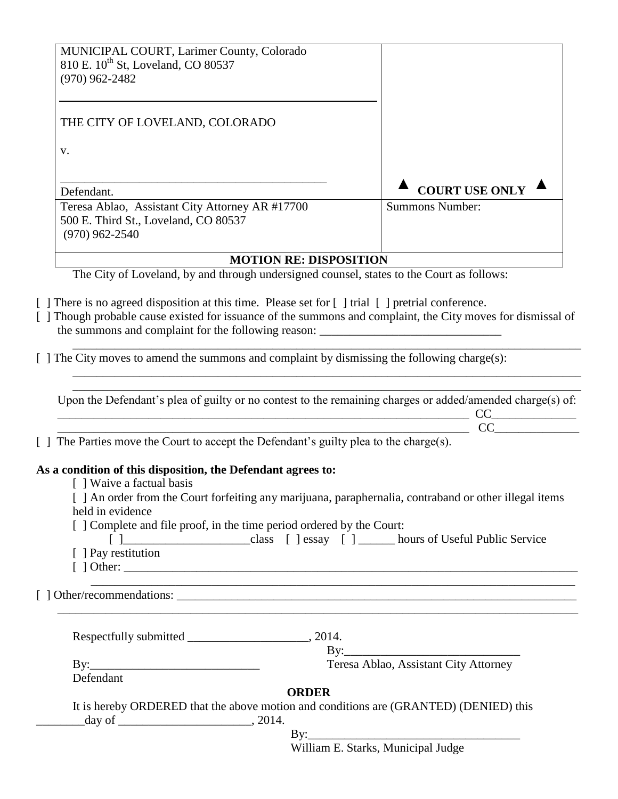| MUNICIPAL COURT, Larimer County, Colorado<br>810 E. 10 <sup>th</sup> St, Loveland, CO 80537<br>$(970)$ 962-2482                                                                                                                                                                                                                                                                                               |                                       |
|---------------------------------------------------------------------------------------------------------------------------------------------------------------------------------------------------------------------------------------------------------------------------------------------------------------------------------------------------------------------------------------------------------------|---------------------------------------|
| THE CITY OF LOVELAND, COLORADO                                                                                                                                                                                                                                                                                                                                                                                |                                       |
| V.                                                                                                                                                                                                                                                                                                                                                                                                            |                                       |
|                                                                                                                                                                                                                                                                                                                                                                                                               | <b>COURT USE ONLY</b>                 |
| Defendant.<br>Teresa Ablao, Assistant City Attorney AR #17700<br>500 E. Third St., Loveland, CO 80537<br>$(970)$ 962-2540                                                                                                                                                                                                                                                                                     | <b>Summons Number:</b>                |
| <b>MOTION RE: DISPOSITION</b>                                                                                                                                                                                                                                                                                                                                                                                 |                                       |
| The City of Loveland, by and through undersigned counsel, states to the Court as follows:                                                                                                                                                                                                                                                                                                                     |                                       |
| [] Though probable cause existed for issuance of the summons and complaint, the City moves for dismissal of<br>the summons and complaint for the following reason: _____________________________<br>[ ] The City moves to amend the summons and complaint by dismissing the following charge(s):<br>Upon the Defendant's plea of guilty or no contest to the remaining charges or added/amended charge(s) of: |                                       |
|                                                                                                                                                                                                                                                                                                                                                                                                               |                                       |
|                                                                                                                                                                                                                                                                                                                                                                                                               | $\overbrace{CC}$                      |
| [] The Parties move the Court to accept the Defendant's guilty plea to the charge(s).                                                                                                                                                                                                                                                                                                                         |                                       |
| As a condition of this disposition, the Defendant agrees to:<br>[] Waive a factual basis<br>[ ] An order from the Court forfeiting any marijuana, paraphernalia, contraband or other illegal items<br>held in evidence<br>[ ] Complete and file proof, in the time period ordered by the Court:<br>[ ] Pay restitution                                                                                        |                                       |
| ,我们也不能在这里的时候,我们也不能在这里的时候,我们也不能会在这里的时候,我们也不能会在这里的时候,我们也不能会在这里的时候,我们也不能会在这里的时候,我们也不                                                                                                                                                                                                                                                                                                                             |                                       |
|                                                                                                                                                                                                                                                                                                                                                                                                               |                                       |
|                                                                                                                                                                                                                                                                                                                                                                                                               | Teresa Ablao, Assistant City Attorney |
| Defendant                                                                                                                                                                                                                                                                                                                                                                                                     |                                       |
| <b>ORDER</b><br>It is hereby ORDERED that the above motion and conditions are (GRANTED) (DENIED) this                                                                                                                                                                                                                                                                                                         |                                       |
|                                                                                                                                                                                                                                                                                                                                                                                                               |                                       |
|                                                                                                                                                                                                                                                                                                                                                                                                               | William E. Starks, Municipal Judge    |